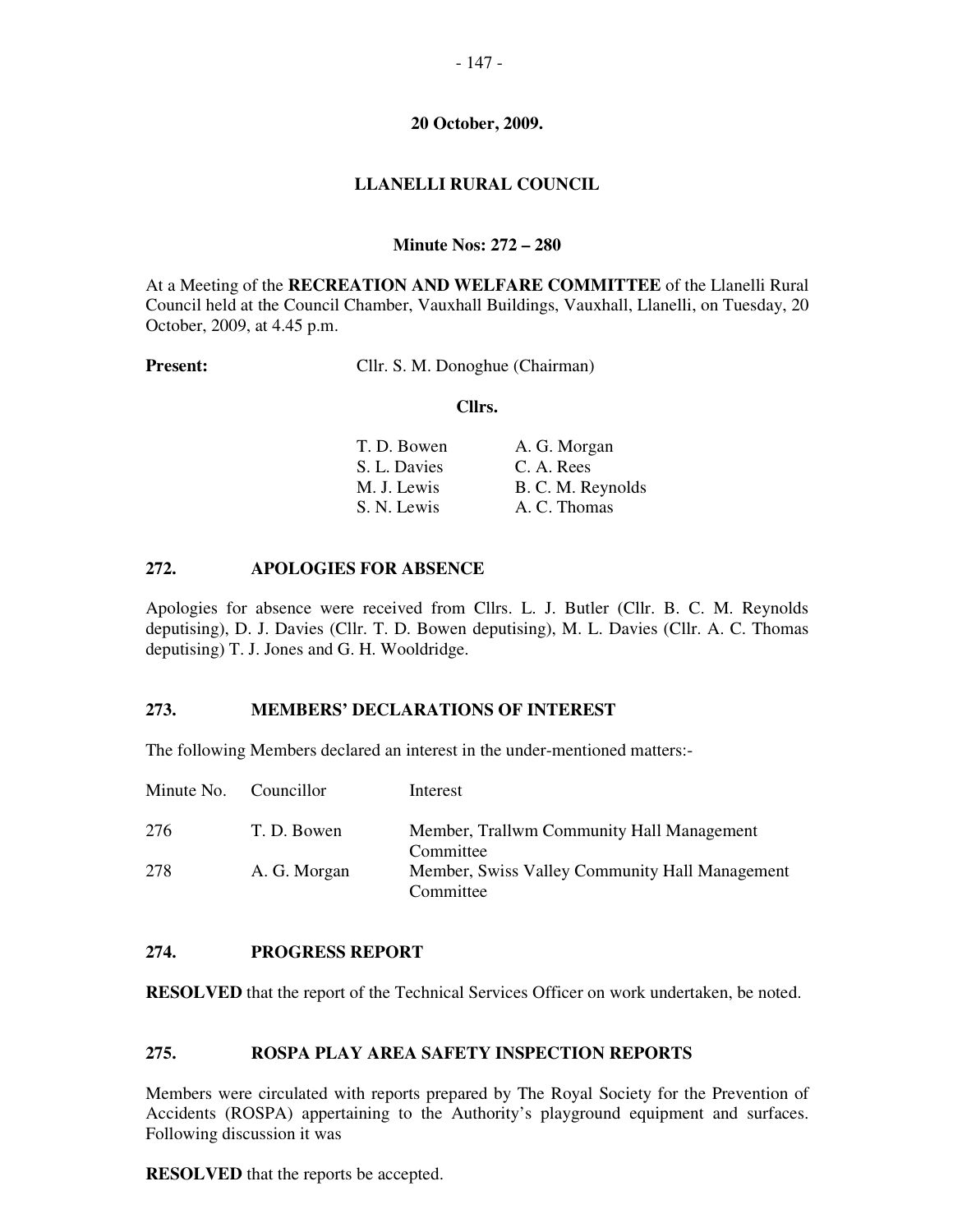## **LLANELLI RURAL COUNCIL**

## **Minute Nos: 272 – 280**

At a Meeting of the **RECREATION AND WELFARE COMMITTEE** of the Llanelli Rural Council held at the Council Chamber, Vauxhall Buildings, Vauxhall, Llanelli, on Tuesday, 20 October, 2009, at 4.45 p.m.

**Present:** Cllr. S. M. Donoghue (Chairman)

#### **Cllrs.**

| A. G. Morgan      |
|-------------------|
| C. A. Rees        |
| B. C. M. Reynolds |
| A. C. Thomas      |
|                   |

## **272. APOLOGIES FOR ABSENCE**

Apologies for absence were received from Cllrs. L. J. Butler (Cllr. B. C. M. Reynolds deputising), D. J. Davies (Cllr. T. D. Bowen deputising), M. L. Davies (Cllr. A. C. Thomas deputising) T. J. Jones and G. H. Wooldridge.

#### **273. MEMBERS' DECLARATIONS OF INTEREST**

The following Members declared an interest in the under-mentioned matters:-

| Minute No. Councillor |              | Interest                                                    |
|-----------------------|--------------|-------------------------------------------------------------|
| 276                   | T. D. Bowen  | Member, Trallwm Community Hall Management<br>Committee      |
| 278                   | A. G. Morgan | Member, Swiss Valley Community Hall Management<br>Committee |

#### **274. PROGRESS REPORT**

**RESOLVED** that the report of the Technical Services Officer on work undertaken, be noted.

## **275. ROSPA PLAY AREA SAFETY INSPECTION REPORTS**

Members were circulated with reports prepared by The Royal Society for the Prevention of Accidents (ROSPA) appertaining to the Authority's playground equipment and surfaces. Following discussion it was

**RESOLVED** that the reports be accepted.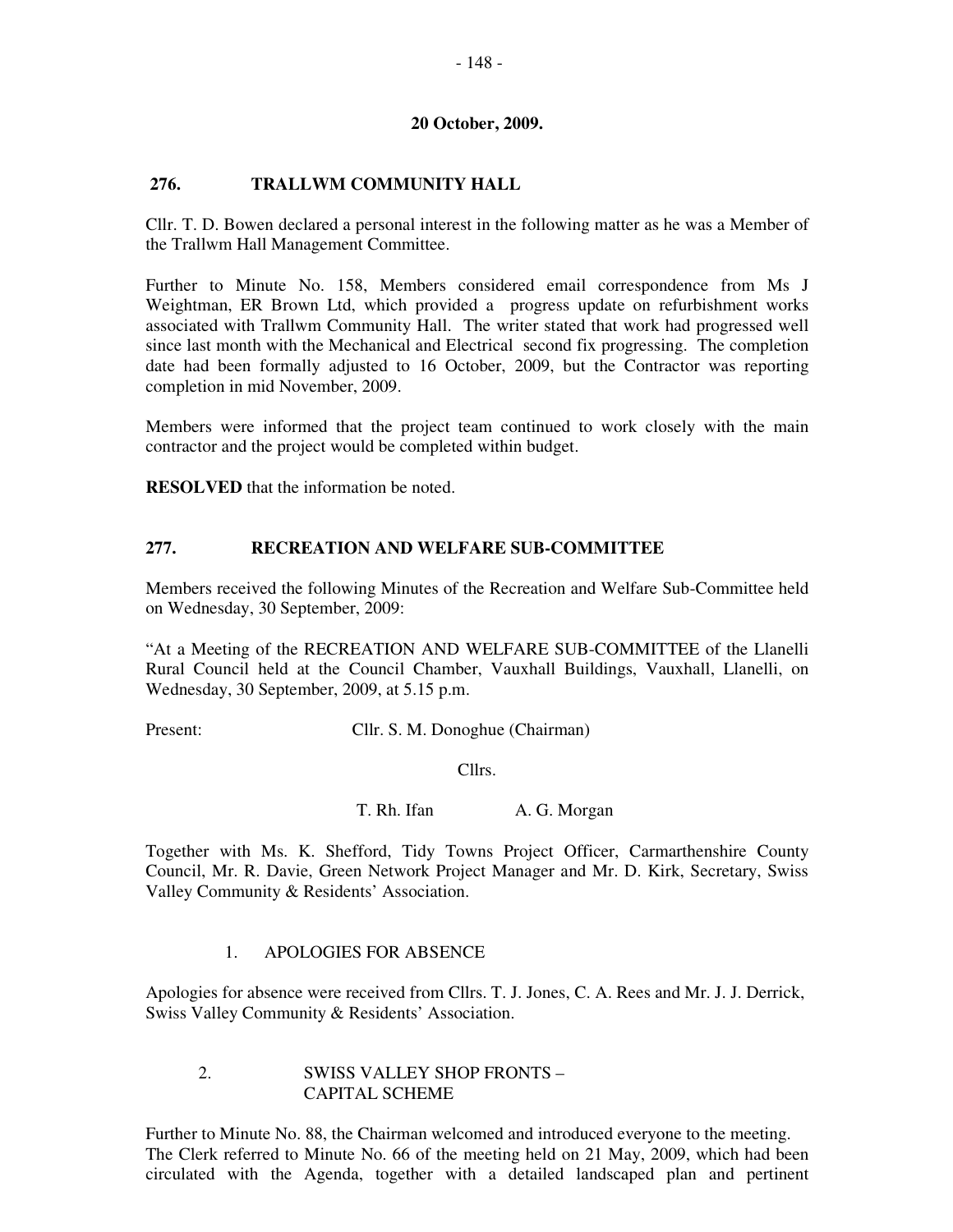### **276. TRALLWM COMMUNITY HALL**

Cllr. T. D. Bowen declared a personal interest in the following matter as he was a Member of the Trallwm Hall Management Committee.

Further to Minute No. 158, Members considered email correspondence from Ms J Weightman, ER Brown Ltd, which provided a progress update on refurbishment works associated with Trallwm Community Hall. The writer stated that work had progressed well since last month with the Mechanical and Electrical second fix progressing. The completion date had been formally adjusted to 16 October, 2009, but the Contractor was reporting completion in mid November, 2009.

Members were informed that the project team continued to work closely with the main contractor and the project would be completed within budget.

**RESOLVED** that the information be noted.

#### **277. RECREATION AND WELFARE SUB-COMMITTEE**

Members received the following Minutes of the Recreation and Welfare Sub-Committee held on Wednesday, 30 September, 2009:

"At a Meeting of the RECREATION AND WELFARE SUB-COMMITTEE of the Llanelli Rural Council held at the Council Chamber, Vauxhall Buildings, Vauxhall, Llanelli, on Wednesday, 30 September, 2009, at 5.15 p.m.

Present: Cllr. S. M. Donoghue (Chairman)

Cllrs.

T. Rh. Ifan A. G. Morgan

Together with Ms. K. Shefford, Tidy Towns Project Officer, Carmarthenshire County Council, Mr. R. Davie, Green Network Project Manager and Mr. D. Kirk, Secretary, Swiss Valley Community & Residents' Association.

#### 1. APOLOGIES FOR ABSENCE

Apologies for absence were received from Cllrs. T. J. Jones, C. A. Rees and Mr. J. J. Derrick, Swiss Valley Community & Residents' Association.

#### 2. SWISS VALLEY SHOP FRONTS – CAPITAL SCHEME

Further to Minute No. 88, the Chairman welcomed and introduced everyone to the meeting. The Clerk referred to Minute No. 66 of the meeting held on 21 May, 2009, which had been circulated with the Agenda, together with a detailed landscaped plan and pertinent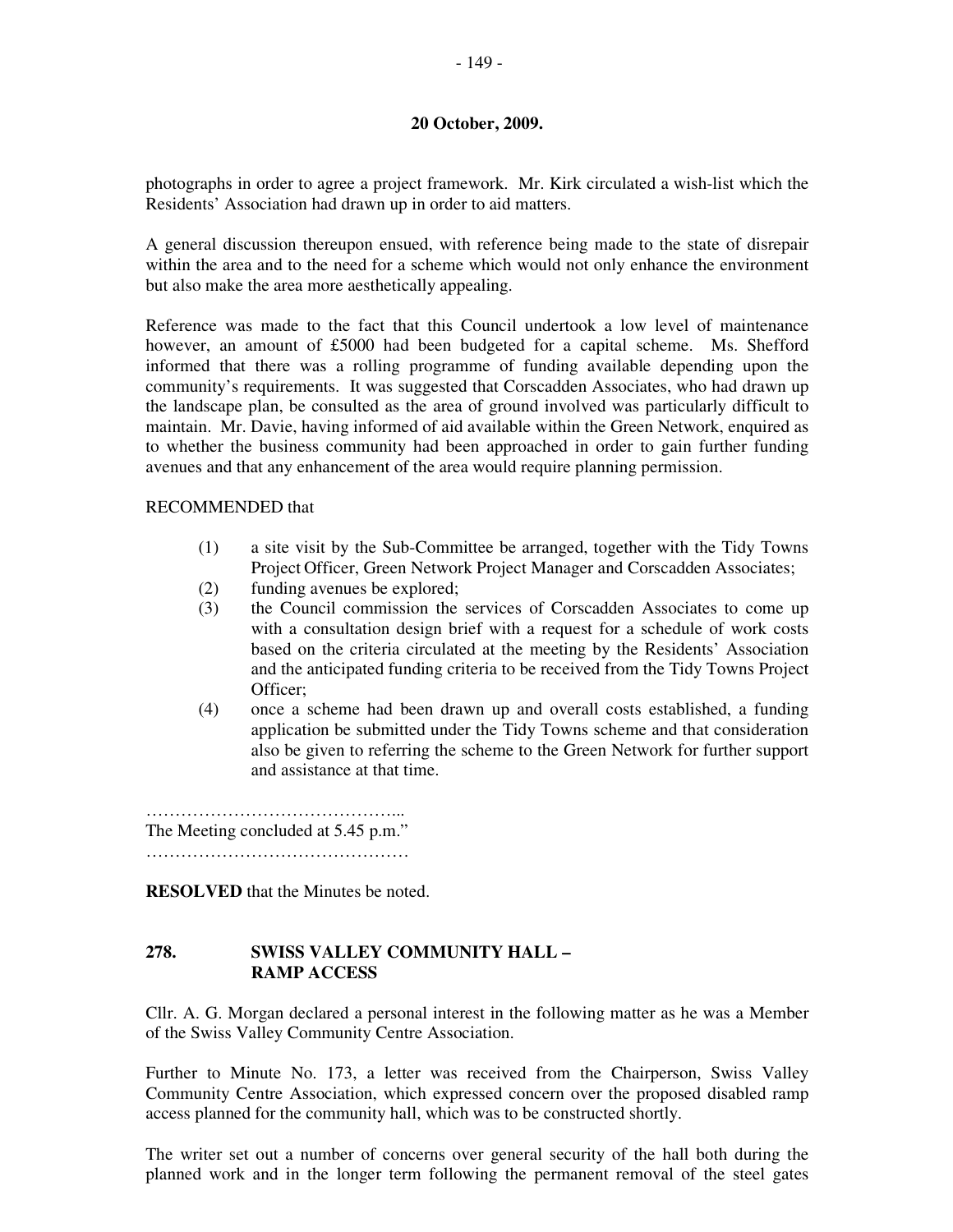photographs in order to agree a project framework. Mr. Kirk circulated a wish-list which the Residents' Association had drawn up in order to aid matters.

A general discussion thereupon ensued, with reference being made to the state of disrepair within the area and to the need for a scheme which would not only enhance the environment but also make the area more aesthetically appealing.

Reference was made to the fact that this Council undertook a low level of maintenance however, an amount of £5000 had been budgeted for a capital scheme. Ms. Shefford informed that there was a rolling programme of funding available depending upon the community's requirements. It was suggested that Corscadden Associates, who had drawn up the landscape plan, be consulted as the area of ground involved was particularly difficult to maintain. Mr. Davie, having informed of aid available within the Green Network, enquired as to whether the business community had been approached in order to gain further funding avenues and that any enhancement of the area would require planning permission.

#### RECOMMENDED that

- (1) a site visit by the Sub-Committee be arranged, together with the Tidy Towns Project Officer, Green Network Project Manager and Corscadden Associates;
- (2) funding avenues be explored;
- (3) the Council commission the services of Corscadden Associates to come up with a consultation design brief with a request for a schedule of work costs based on the criteria circulated at the meeting by the Residents' Association and the anticipated funding criteria to be received from the Tidy Towns Project Officer;
- (4) once a scheme had been drawn up and overall costs established, a funding application be submitted under the Tidy Towns scheme and that consideration also be given to referring the scheme to the Green Network for further support and assistance at that time.

……………………………………... The Meeting concluded at 5.45 p.m." ………………………………………

**RESOLVED** that the Minutes be noted.

#### **278. SWISS VALLEY COMMUNITY HALL – RAMP ACCESS**

Cllr. A. G. Morgan declared a personal interest in the following matter as he was a Member of the Swiss Valley Community Centre Association.

Further to Minute No. 173, a letter was received from the Chairperson, Swiss Valley Community Centre Association, which expressed concern over the proposed disabled ramp access planned for the community hall, which was to be constructed shortly.

The writer set out a number of concerns over general security of the hall both during the planned work and in the longer term following the permanent removal of the steel gates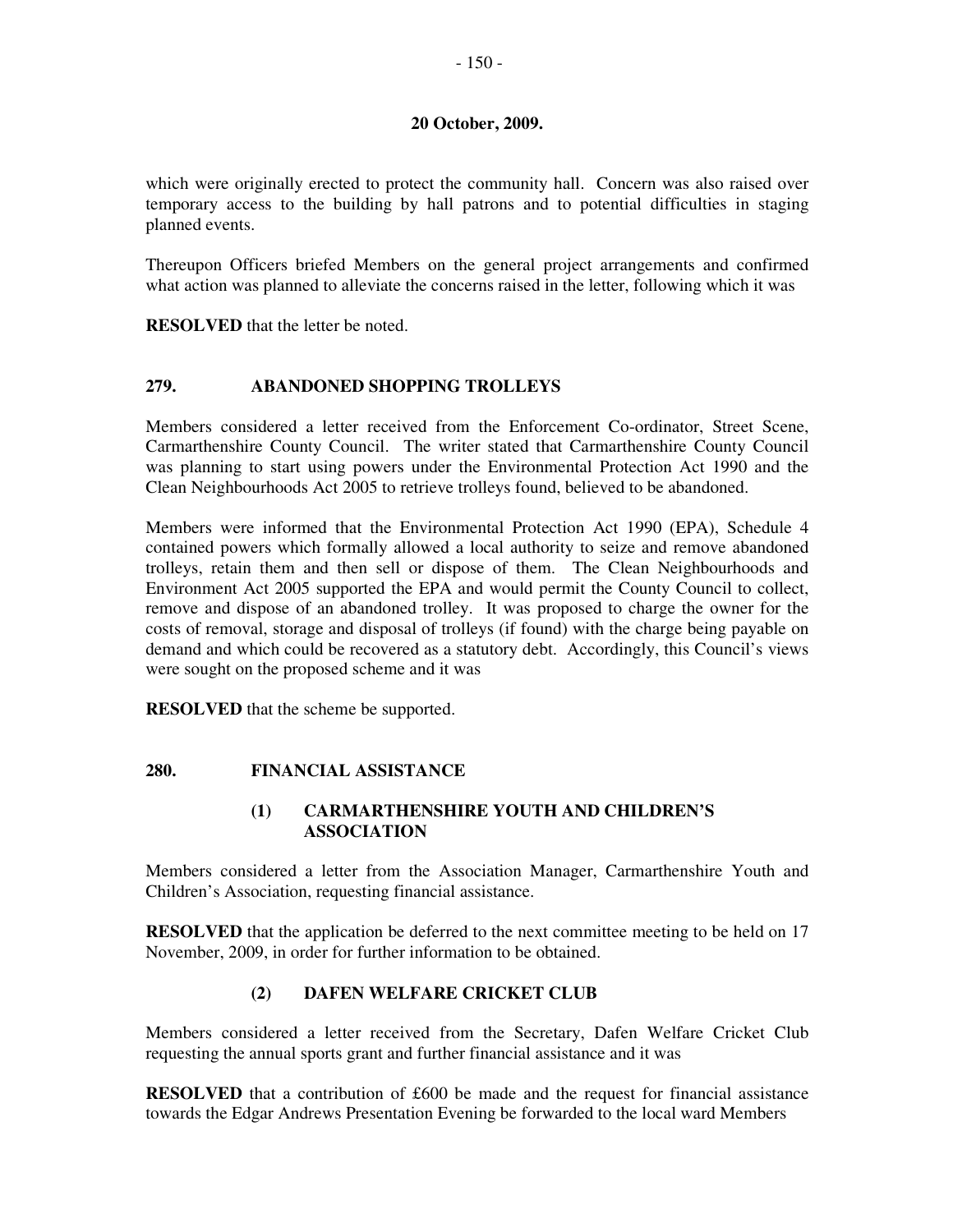which were originally erected to protect the community hall. Concern was also raised over temporary access to the building by hall patrons and to potential difficulties in staging planned events.

Thereupon Officers briefed Members on the general project arrangements and confirmed what action was planned to alleviate the concerns raised in the letter, following which it was

**RESOLVED** that the letter be noted.

## **279. ABANDONED SHOPPING TROLLEYS**

Members considered a letter received from the Enforcement Co-ordinator, Street Scene, Carmarthenshire County Council. The writer stated that Carmarthenshire County Council was planning to start using powers under the Environmental Protection Act 1990 and the Clean Neighbourhoods Act 2005 to retrieve trolleys found, believed to be abandoned.

Members were informed that the Environmental Protection Act 1990 (EPA), Schedule 4 contained powers which formally allowed a local authority to seize and remove abandoned trolleys, retain them and then sell or dispose of them. The Clean Neighbourhoods and Environment Act 2005 supported the EPA and would permit the County Council to collect, remove and dispose of an abandoned trolley. It was proposed to charge the owner for the costs of removal, storage and disposal of trolleys (if found) with the charge being payable on demand and which could be recovered as a statutory debt. Accordingly, this Council's views were sought on the proposed scheme and it was

**RESOLVED** that the scheme be supported.

## **280. FINANCIAL ASSISTANCE**

## **(1) CARMARTHENSHIRE YOUTH AND CHILDREN'S ASSOCIATION**

Members considered a letter from the Association Manager, Carmarthenshire Youth and Children's Association, requesting financial assistance.

**RESOLVED** that the application be deferred to the next committee meeting to be held on 17 November, 2009, in order for further information to be obtained.

## **(2) DAFEN WELFARE CRICKET CLUB**

Members considered a letter received from the Secretary, Dafen Welfare Cricket Club requesting the annual sports grant and further financial assistance and it was

**RESOLVED** that a contribution of £600 be made and the request for financial assistance towards the Edgar Andrews Presentation Evening be forwarded to the local ward Members